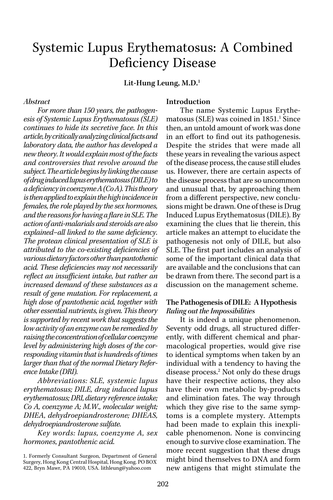# Systemic Lupus Erythematosus: A Combined Deficiency Disease

Lit-Hung Leung, M.D.<sup>1</sup>

### **Abstract**

For more than 150 years, the pathogenesis of Systemic Lupus Erythematosus (SLE) continues to hide its secretive face. In this article, by critically analyzing clinical facts and laboratory data, the author has developed a new theory. It would explain most of the facts and controversies that revolve around the subject. The article begins by linking the cause of drug induced lupus erythematosus (DILE) to a deficiency in coenzyme  $A(CoA)$ . This theory is then applied to explain the high incidence in females, the role played by the sex hormones, and the reasons for having a flare in SLE. The action of anti-malarials and steroids are also explained–all linked to the same deficiency. The protean clinical presentation of SLE is attributed to the co-existing deficiencies of various dietary factors other than pantothenic acid. These deficiencies may not necessarily reflect an insufficient intake, but rather an increased demand of these substances as a result of gene mutation. For replacement, a high dose of pantothenic acid, together with other essential nutrients, is given. This theory is supported by recent work that suggests the low activity of an enzyme can be remedied by raising the concentration of cellular coenzyme level by administering high doses of the corresponding vitamin that is hundreds of times larger than that of the normal Dietary Reference Intake (DRI).

Abbreviations: SLE, systemic lupus erythematosus; DILE, drug induced lupus erythematosus; DRI, dietary reference intake; Co A, coenzyme A; M.W., molecular weight; DHEA, dehydroepiandrosterone; DHEAS, dehydroepiandrosterone sulfate.

Key words: lupus, coenzyme A, sex hormones, pantothenic acid.

#### Introduction

The name Systemic Lupus Erythematosus (SLE) was coined in 1851.<sup>1</sup> Since then, an untold amount of work was done in an effort to find out its pathogenesis. Despite the strides that were made all these years in revealing the various aspect of the disease process, the cause still eludes us. However, there are certain aspects of the disease process that are so uncommon and unusual that, by approaching them from a different perspective, new conclusions might be drawn. One of these is Drug Induced Lupus Erythematosus (DILE). By examining the clues that lie therein, this article makes an attempt to elucidate the pathogenesis not only of DILE, but also SLE. The first part includes an analysis of some of the important clinical data that are available and the conclusions that can be drawn from there. The second part is a discussion on the management scheme.

### The Pathogenesis of DILE: A Hypothesis Ruling out the Impossibilities

It is indeed a unique phenomenon. Seventy odd drugs, all structured differently, with different chemical and pharmacological properties, would give rise to identical symptoms when taken by an individual with a tendency to having the disease process.<sup>2</sup> Not only do these drugs have their respective actions, they also have their own metabolic by-products and elimination fates. The way through which they give rise to the same symptoms is a complete mystery. Attempts had been made to explain this inexplicable phenomenon. None is convincing enough to survive close examination. The more recent suggestion that these drugs might bind themselves to DNA and form new antigens that might stimulate the

<sup>1.</sup> Formerly Consultant Surgeon, Department of General Surgery, Hong Kong Central Hospital, Hong Kong. PO BOX 422, Bryn Mawr, PA 19010, USA. lithleung@yahoo.com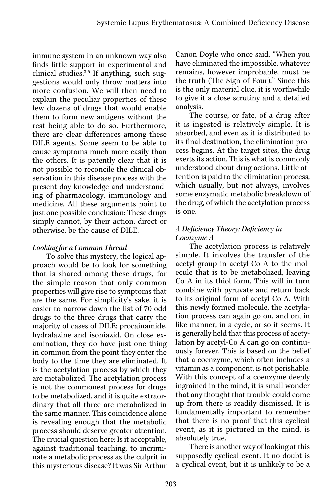immune system in an unknown way also finds little support in experimental and clinical studies.<sup>3-5</sup> If anything, such suggestions would only throw matters into more confusion. We will then need to explain the peculiar properties of these few dozens of drugs that would enable them to form new antigens without the rest being able to do so. Furthermore, there are clear differences among these DILE agents. Some seem to be able to cause symptoms much more easily than the others. It is patently clear that it is not possible to reconcile the clinical observation in this disease process with the present day knowledge and understanding of pharmacology, immunology and medicine. All these arguments point to just one possible conclusion: These drugs simply cannot, by their action, direct or otherwise, be the cause of DILE.

# Looking for a Common Thread

To solve this mystery, the logical approach would be to look for something that is shared among these drugs, for the simple reason that only common properties will give rise to symptoms that are the same. For simplicity's sake, it is easier to narrow down the list of 70 odd drugs to the three drugs that carry the majority of cases of DILE: procainamide, hydralazine and isoniazid. On close examination, they do have just one thing in common from the point they enter the body to the time they are eliminated. It is the acetylation process by which they are metabolized. The acetylation process is not the commonest process for drugs to be metabolized, and it is quite extraordinary that all three are metabolized in the same manner. This coincidence alone is revealing enough that the metabolic process should deserve greater attention. The crucial question here: Is it acceptable, against traditional teaching, to incriminate a metabolic process as the culprit in this mysterious disease? It was Sir Arthur Canon Doyle who once said, "When you have eliminated the impossible, whatever remains, however improbable, must be the truth (The Sign of Four)." Since this is the only material clue, it is worthwhile to give it a close scrutiny and a detailed analysis.

The course, or fate, of a drug after it is ingested is relatively simple. It is absorbed, and even as it is distributed to its final destination, the elimination process begins. At the target sites, the drug exerts its action. This is what is commonly understood about drug actions. Little attention is paid to the elimination process, which usually, but not always, involves some enzymatic metabolic breakdown of the drug, of which the acetylation process is one.

# A Deficiency Theory: Deficiency in Coenzyme A

The acetylation process is relatively simple. It involves the transfer of the acetyl group in acetyl-Co A to the molecule that is to be metabolized, leaving Co A in its thiol form. This will in turn combine with pyruvate and return back to its original form of acetyl-Co A. With this newly formed molecule, the acetylation process can again go on, and on, in like manner, in a cycle, or so it seems. It is generally held that this process of acetylation by acetyl-Co A can go on continuously forever. This is based on the belief that a coenzyme, which often includes a vitamin as a component, is not perishable. With this concept of a coenzyme deeply ingrained in the mind, it is small wonder that any thought that trouble could come up from there is readily dismissed. It is fundamentally important to remember that there is no proof that this cyclical event, as it is pictured in the mind, is absolutely true.

There is another way of looking at this supposedly cyclical event. It no doubt is a cyclical event, but it is unlikely to be a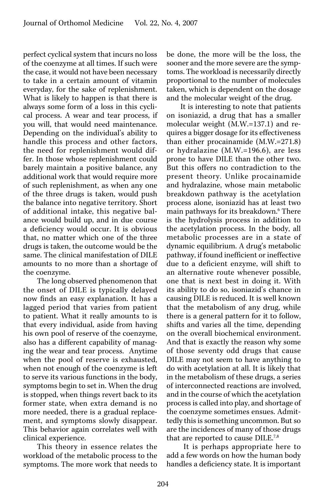perfect cyclical system that incurs no loss of the coenzyme at all times. If such were the case, it would not have been necessary to take in a certain amount of vitamin everyday, for the sake of replenishment. What is likely to happen is that there is always some form of a loss in this cyclical process. A wear and tear process, if you will, that would need maintenance. Depending on the individual's ability to handle this process and other factors, the need for replenishment would differ. In those whose replenishment could barely maintain a positive balance, any additional work that would require more of such replenishment, as when any one of the three drugs is taken, would push the balance into negative territory. Short of additional intake, this negative balance would build up, and in due course a deficiency would occur. It is obvious that, no matter which one of the three drugs is taken, the outcome would be the same. The clinical manifestation of DILE amounts to no more than a shortage of the coenzyme.

The long observed phenomenon that the onset of DILE is typically delayed now finds an easy explanation. It has a lagged period that varies from patient to patient. What it really amounts to is that every individual, aside from having his own pool of reserve of the coenzyme, also has a different capability of managing the wear and tear process. Anytime when the pool of reserve is exhausted, when not enough of the coenzyme is left to serve its various functions in the body, symptoms begin to set in. When the drug is stopped, when things revert back to its former state, when extra demand is no more needed, there is a gradual replacement, and symptoms slowly disappear. This behavior again correlates well with clinical experience.

This theory in essence relates the workload of the metabolic process to the symptoms. The more work that needs to be done, the more will be the loss, the sooner and the more severe are the symptoms. The workload is necessarily directly proportional to the number of molecules taken, which is dependent on the dosage and the molecular weight of the drug.

It is interesting to note that patients on isoniazid, a drug that has a smaller molecular weight (M.W.=137.1) and requires a bigger dosage for its effectiveness than either procainamide (M.W.=271.8) or hydralazine (M.W.=196.6), are less prone to have DILE than the other two. But this offers no contradiction to the present theory. Unlike procainamide and hydralazine, whose main metabolic breakdown pathway is the acetylation process alone, isoniazid has at least two main pathways for its breakdown.<sup>6</sup> There is the hydrolysis process in addition to the acetylation process. In the body, all metabolic processes are in a state of dynamic equilibrium. A drug's metabolic pathway, if found inefficient or ineffective due to a deficient enzyme, will shift to an alternative route whenever possible, one that is next best in doing it. With its ability to do so, isoniazid's chance in causing DILE is reduced. It is well known that the metabolism of any drug, while there is a general pattern for it to follow, shifts and varies all the time, depending on the overall biochemical environment. And that is exactly the reason why some of those seventy odd drugs that cause DILE may not seem to have anything to do with acetylation at all. It is likely that in the metabolism of these drugs, a series of interconnected reactions are involved, and in the course of which the acetylation process is called into play, and shortage of the coenzyme sometimes ensues. Admittedly this is something uncommon. But so are the incidences of many of those drugs that are reported to cause DILE.7,8

 It is perhaps appropriate here to add a few words on how the human body handles a deficiency state. It is important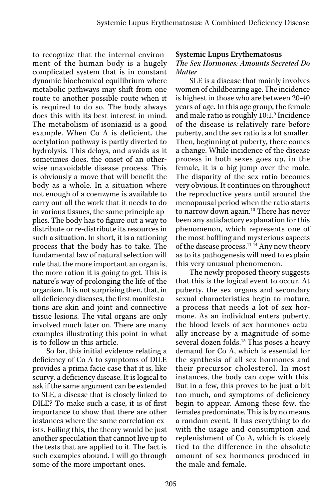to recognize that the internal environment of the human body is a hugely complicated system that is in constant dynamic biochemical equilibrium where metabolic pathways may shift from one route to another possible route when it is required to do so. The body always does this with its best interest in mind. The metabolism of isoniazid is a good example. When Co A is deficient, the acetylation pathway is partly diverted to hydrolysis. This delays, and avoids as it sometimes does, the onset of an otherwise unavoidable disease process. This is obviously a move that will benefit the body as a whole. In a situation where not enough of a coenzyme is available to carry out all the work that it needs to do in various tissues, the same principle applies. The body has to figure out a way to distribute or re-distribute its resources in such a situation. In short, it is a rationing process that the body has to take. The fundamental law of natural selection will rule that the more important an organ is, the more ration it is going to get. This is nature's way of prolonging the life of the organism. It is not surprising then, that, in all deficiency diseases, the first manifestations are skin and joint and connective tissue lesions. The vital organs are only involved much later on. There are many examples illustrating this point in what is to follow in this article.

So far, this initial evidence relating a deficiency of Co A to symptoms of DILE provides a prima facie case that it is, like scurvy, a deficiency disease. It is logical to ask if the same argument can be extended to SLE, a disease that is closely linked to DILE? To make such a case, it is of first importance to show that there are other instances where the same correlation exists. Failing this, the theory would be just another speculation that cannot live up to the tests that are applied to it. The fact is such examples abound. I will go through some of the more important ones.

#### Systemic Lupus Erythematosus

### The Sex Hormones: Amounts Secreted Do **Matter**

SLE is a disease that mainly involves women of childbearing age. The incidence is highest in those who are between 20-40 years of age. In this age group, the female and male ratio is roughly 10:1.<sup>9</sup> Incidence of the disease is relatively rare before puberty, and the sex ratio is a lot smaller. Then, beginning at puberty, there comes a change. While incidence of the disease process in both sexes goes up, in the female, it is a big jump over the male. The disparity of the sex ratio becomes very obvious. It continues on throughout the reproductive years until around the menopausal period when the ratio starts to narrow down again.<sup>10</sup> There has never been any satisfactory explanation for this phenomenon, which represents one of the most baffling and mysterious aspects of the disease process.<sup>11-14</sup> Any new theory as to its pathogenesis will need to explain this very unusual phenomenon.

The newly proposed theory suggests that this is the logical event to occur. At puberty, the sex organs and secondary sexual characteristics begin to mature, a process that needs a lot of sex hormone. As an individual enters puberty, the blood levels of sex hormones actually increase by a magnitude of some several dozen folds.<sup>15</sup> This poses a heavy demand for Co A, which is essential for the synthesis of all sex hormones and their precursor cholesterol. In most instances, the body can cope with this. But in a few, this proves to be just a bit too much, and symptoms of deficiency begin to appear. Among these few, the females predominate. This is by no means a random event. It has everything to do with the usage and consumption and replenishment of Co A, which is closely tied to the difference in the absolute amount of sex hormones produced in the male and female.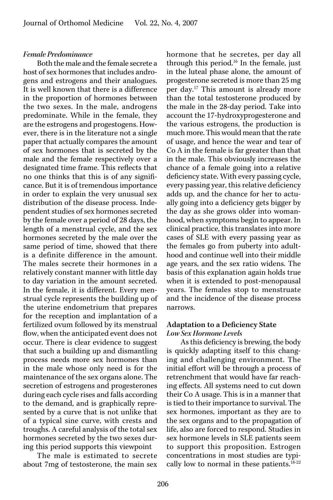#### Female Predominance

Both the male and the female secrete a host of sex hormones that includes androgens and estrogens and their analogues. It is well known that there is a difference in the proportion of hormones between the two sexes. In the male, androgens predominate. While in the female, they are the estrogens and progestogens. However, there is in the literature not a single paper that actually compares the amount of sex hormones that is secreted by the male and the female respectively over a designated time frame. This reflects that no one thinks that this is of any significance. But it is of tremendous importance in order to explain the very unusual sex distribution of the disease process. Independent studies of sex hormones secreted by the female over a period of 28 days, the length of a menstrual cycle, and the sex hormones secreted by the male over the same period of time, showed that there is a definite difference in the amount. The males secrete their hormones in a relatively constant manner with little day to day variation in the amount secreted. In the female, it is different. Every menstrual cycle represents the building up of the uterine endometrium that prepares for the reception and implantation of a fertilized ovum followed by its menstrual flow, when the anticipated event does not occur. There is clear evidence to suggest that such a building up and dismantling process needs more sex hormones than in the male whose only need is for the maintenance of the sex organs alone. The secretion of estrogens and progesterones during each cycle rises and falls according to the demand, and is graphically represented by a curve that is not unlike that of a typical sine curve, with crests and troughs. A careful analysis of the total sex hormones secreted by the two sexes during this period supports this viewpoint

The male is estimated to secrete about 7mg of testosterone, the main sex hormone that he secretes, per day all through this period.<sup>16</sup> In the female, just in the luteal phase alone, the amount of progesterone secreted is more than 25 mg per day.17 This amount is already more than the total testosterone produced by the male in the 28-day period. Take into account the 17-hydroxyprogesterone and the various estrogens, the production is much more. This would mean that the rate of usage, and hence the wear and tear of Co A in the female is far greater than that in the male. This obviously increases the chance of a female going into a relative deficiency state. With every passing cycle, every passing year, this relative deficiency adds up, and the chance for her to actually going into a deficiency gets bigger by the day as she grows older into womanhood, when symptoms begin to appear. In clinical practice, this translates into more cases of SLE with every passing year as the females go from puberty into adulthood and continue well into their middle age years, and the sex ratio widens. The basis of this explanation again holds true when it is extended to post-menopausal years. The females stop to menstruate and the incidence of the disease process narrows.

### Adaptation to a Deficiency State Low Sex Hormone Levels

As this deficiency is brewing, the body is quickly adapting itself to this changing and challenging environment. The initial effort will be through a process of retrenchment that would have far reaching effects. All systems need to cut down their Co A usage. This is in a manner that is tied to their importance to survival. The sex hormones, important as they are to the sex organs and to the propagation of life, also are forced to respond. Studies in sex hormone levels in SLE patients seem to support this proposition. Estrogen concentrations in most studies are typically low to normal in these patients. $18-22$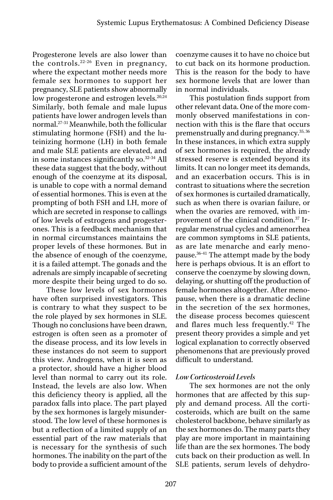Progesterone levels are also lower than the controls.22-26 Even in pregnancy, where the expectant mother needs more female sex hormones to support her pregnancy, SLE patients show abnormally low progesterone and estrogen levels.<sup>20,24</sup> Similarly, both female and male lupus patients have lower androgen levels than normal.27-31 Meanwhile, both the follicular stimulating hormone (FSH) and the luteinizing hormone (LH) in both female and male SLE patients are elevated, and in some instances significantly so.32-34 All these data suggest that the body, without enough of the coenzyme at its disposal, is unable to cope with a normal demand of essential hormones. This is even at the prompting of both FSH and LH, more of which are secreted in response to callings of low levels of estrogens and progesterones. This is a feedback mechanism that in normal circumstances maintains the proper levels of these hormones. But in the absence of enough of the coenzyme, it is a failed attempt. The gonads and the adrenals are simply incapable of secreting more despite their being urged to do so.

These low levels of sex hormones have often surprised investigators. This is contrary to what they suspect to be the role played by sex hormones in SLE. Though no conclusions have been drawn, estrogen is often seen as a promoter of the disease process, and its low levels in these instances do not seem to support this view. Androgens, when it is seen as a protector, should have a higher blood level than normal to carry out its role. Instead, the levels are also low. When this deficiency theory is applied, all the paradox falls into place. The part played by the sex hormones is largely misunderstood. The low level of these hormones is but a reflection of a limited supply of an essential part of the raw materials that is necessary for the synthesis of such hormones. The inability on the part of the body to provide a sufficient amount of the

coenzyme causes it to have no choice but to cut back on its hormone production. This is the reason for the body to have sex hormone levels that are lower than in normal individuals.

This postulation finds support from other relevant data. One of the more commonly observed manifestations in connection with this is the flare that occurs premenstrually and during pregnancy.35, 36 In these instances, in which extra supply of sex hormones is required, the already stressed reserve is extended beyond its limits. It can no longer meet its demands, and an exacerbation occurs. This is in contrast to situations where the secretion of sex hormones is curtailed dramatically, such as when there is ovarian failure, or when the ovaries are removed, with improvement of the clinical condition.37 Irregular menstrual cycles and amenorrhea are common symptoms in SLE patients, as are late menarche and early menopause.36-41 The attempt made by the body here is perhaps obvious. It is an effort to conserve the coenzyme by slowing down, delaying, or shutting off the production of female hormones altogether. After menopause, when there is a dramatic decline in the secretion of the sex hormones, the disease process becomes quiescent and flares much less frequently.42 The present theory provides a simple and yet logical explanation to correctly observed phenomenons that are previously proved difficult to understand.

## Low Corticosteroid Levels

The sex hormones are not the only hormones that are affected by this supply and demand process. All the corticosteroids, which are built on the same cholesterol backbone, behave similarly as the sex hormones do. The many parts they play are more important in maintaining life than are the sex hormones. The body cuts back on their production as well. In SLE patients, serum levels of dehydro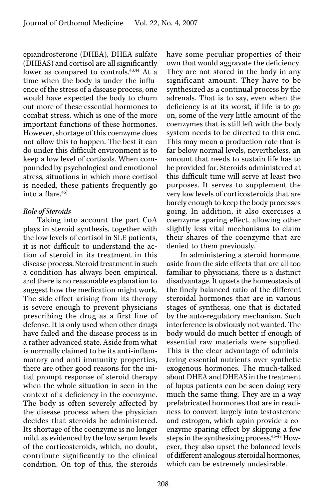epiandrosterone (DHEA), DHEA sulfate (DHEAS) and cortisol are all significantly lower as compared to controls.<sup>43,44</sup> At a time when the body is under the influence of the stress of a disease process, one would have expected the body to churn out more of these essential hormones to combat stress, which is one of the more important functions of these hormones. However, shortage of this coenzyme does not allow this to happen. The best it can do under this difficult environment is to keep a low level of cortisols. When compounded by psychological and emotional stress, situations in which more cortisol is needed, these patients frequently go into a flare.45)

# Role of Steroids

Taking into account the part CoA plays in steroid synthesis, together with the low levels of cortisol in SLE patients, it is not difficult to understand the action of steroid in its treatment in this disease process. Steroid treatment in such a condition has always been empirical, and there is no reasonable explanation to suggest how the medication might work. The side effect arising from its therapy is severe enough to prevent physicians prescribing the drug as a first line of defense. It is only used when other drugs have failed and the disease process is in a rather advanced state. Aside from what is normally claimed to be its anti-inflammatory and anti-immunity properties, there are other good reasons for the initial prompt response of steroid therapy when the whole situation in seen in the context of a deficiency in the coenzyme. The body is often severely affected by the disease process when the physician decides that steroids be administered. Its shortage of the coenzyme is no longer mild, as evidenced by the low serum levels of the corticosteroids, which, no doubt, contribute significantly to the clinical condition. On top of this, the steroids

have some peculiar properties of their own that would aggravate the deficiency. They are not stored in the body in any significant amount. They have to be synthesized as a continual process by the adrenals. That is to say, even when the deficiency is at its worst, if life is to go on, some of the very little amount of the coenzymes that is still left with the body system needs to be directed to this end. This may mean a production rate that is far below normal levels, nevertheless, an amount that needs to sustain life has to be provided for. Steroids administered at this difficult time will serve at least two purposes. It serves to supplement the very low levels of corticosteroids that are barely enough to keep the body processes going. In addition, it also exercises a coenzyme sparing effect, allowing other slightly less vital mechanisms to claim their shares of the coenzyme that are denied to them previously.

In administering a steroid hormone, aside from the side effects that are all too familiar to physicians, there is a distinct disadvantage. It upsets the homeostasis of the finely balanced ratio of the different steroidal hormones that are in various stages of synthesis, one that is dictated by the auto-regulatory mechanism. Such interference is obviously not wanted. The body would do much better if enough of essential raw materials were supplied. This is the clear advantage of administering essential nutrients over synthetic exogenous hormones. The much-talked about DHEA and DHEAS in the treatment of lupus patients can be seen doing very much the same thing. They are in a way prefabricated hormones that are in readiness to convert largely into testosterone and estrogen, which again provide a coenzyme sparing effect by skipping a few steps in the synthesizing process.<sup>46-48</sup> However, they also upset the balanced levels of different analogous steroidal hormones, which can be extremely undesirable.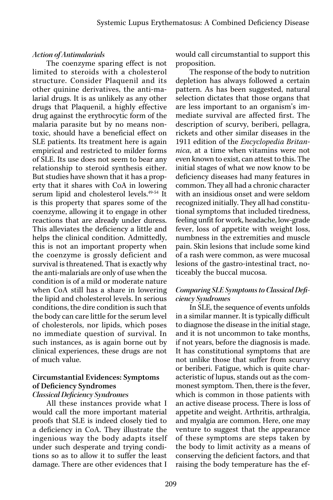### Action of Antimalarials

The coenzyme sparing effect is not limited to steroids with a cholesterol structure. Consider Plaquenil and its other quinine derivatives, the anti-malarial drugs. It is as unlikely as any other drugs that Plaquenil, a highly effective drug against the erythrocytic form of the malaria parasite but by no means nontoxic, should have a beneficial effect on SLE patients. Its treatment here is again empirical and restricted to milder forms of SLE. Its use does not seem to bear any relationship to steroid synthesis either. But studies have shown that it has a property that it shares with CoA in lowering serum lipid and cholesterol levels.<sup>49-54</sup> It is this property that spares some of the coenzyme, allowing it to engage in other reactions that are already under duress. This alleviates the deficiency a little and helps the clinical condition. Admittedly, this is not an important property when the coenzyme is grossly deficient and survival is threatened. That is exactly why the anti-malarials are only of use when the condition is of a mild or moderate nature when CoA still has a share in lowering the lipid and cholesterol levels. In serious conditions, the dire condition is such that the body can care little for the serum level of cholesterols, nor lipids, which poses no immediate question of survival. In such instances, as is again borne out by clinical experiences, these drugs are not of much value.

# Circumstantial Evidences: Symptoms of Deficiency Syndromes

### Classical Deficiency Syndromes

All these instances provide what I would call the more important material proofs that SLE is indeed closely tied to a deficiency in CoA. They illustrate the ingenious way the body adapts itself under such desperate and trying conditions so as to allow it to suffer the least damage. There are other evidences that I

would call circumstantial to support this proposition.

The response of the body to nutrition depletion has always followed a certain pattern. As has been suggested, natural selection dictates that those organs that are less important to an organism's immediate survival are affected first. The description of scurvy, beriberi, pellagra, rickets and other similar diseases in the 1911 edition of the Encyclopedia Britannica, at a time when vitamins were not even known to exist, can attest to this. The initial stages of what we now know to be deficiency diseases had many features in common. They all had a chronic character with an insidious onset and were seldom recognized initially. They all had constitutional symptoms that included tiredness, feeling unfit for work, headache, low-grade fever, loss of appetite with weight loss, numbness in the extremities and muscle pain. Skin lesions that include some kind of a rash were common, as were mucosal lesions of the gastro-intestinal tract, noticeably the buccal mucosa.

## Comparing SLE Symptoms to Classical Deficiency Syndromes

In SLE, the sequence of events unfolds in a similar manner. It is typically difficult to diagnose the disease in the initial stage, and it is not uncommon to take months, if not years, before the diagnosis is made. It has constitutional symptoms that are not unlike those that suffer from scurvy or beriberi. Fatigue, which is quite characteristic of lupus, stands out as the commonest symptom. Then, there is the fever, which is common in those patients with an active disease process. There is loss of appetite and weight. Arthritis, arthralgia, and myalgia are common. Here, one may venture to suggest that the appearance of these symptoms are steps taken by the body to limit activity as a means of conserving the deficient factors, and that raising the body temperature has the ef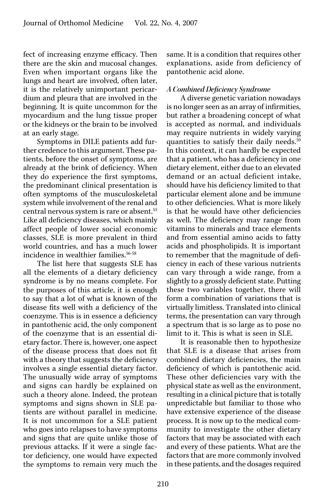fect of increasing enzyme efficacy. Then there are the skin and mucosal changes. Even when important organs like the lungs and heart are involved, often later, it is the relatively unimportant pericardium and pleura that are involved in the beginning. It is quite uncommon for the myocardium and the lung tissue proper or the kidneys or the brain to be involved at an early stage.

Symptoms in DILE patients add further credence to this argument. These patients, before the onset of symptoms, are already at the brink of deficiency. When they do experience the first symptoms, the predominant clinical presentation is often symptoms of the musculoskeletal system while involvement of the renal and central nervous system is rare or absent.55 Like all deficiency diseases, which mainly affect people of lower social economic classes, SLE is more prevalent in third world countries, and has a much lower incidence in wealthier families.56-58

The list here that suggests SLE has all the elements of a dietary deficiency syndrome is by no means complete. For the purposes of this article, it is enough to say that a lot of what is known of the disease fits well with a deficiency of the coenzyme. This is in essence a deficiency in pantothenic acid, the only component of the coenzyme that is an essential dietary factor. There is, however, one aspect of the disease process that does not fit with a theory that suggests the deficiency involves a single essential dietary factor. The unusually wide array of symptoms and signs can hardly be explained on such a theory alone. Indeed, the protean symptoms and signs shown in SLE patients are without parallel in medicine. It is not uncommon for a SLE patient who goes into relapses to have symptoms and signs that are quite unlike those of previous attacks. If it were a single factor deficiency, one would have expected the symptoms to remain very much the

same. It is a condition that requires other explanations, aside from deficiency of pantothenic acid alone.

# A Combined Deficiency Syndrome

A diverse genetic variation nowadays is no longer seen as an array of infirmities, but rather a broadening concept of what is accepted as normal, and individuals may require nutrients in widely varying quantities to satisfy their daily needs.<sup>59</sup> In this context, it can hardly be expected that a patient, who has a deficiency in one dietary element, either due to an elevated demand or an actual deficient intake, should have his deficiency limited to that particular element alone and be immune to other deficiencies. What is more likely is that he would have other deficiencies as well. The deficiency may range from vitamins to minerals and trace elements and from essential amino acids to fatty acids and phospholipids. It is important to remember that the magnitude of deficiency in each of these various nutrients can vary through a wide range, from a slightly to a grossly deficient state. Putting these two variables together, there will form a combination of variations that is virtually limitless. Translated into clinical terms, the presentation can vary through a spectrum that is so large as to pose no limit to it. This is what is seen in SLE.

It is reasonable then to hypothesize that SLE is a disease that arises from combined dietary deficiencies, the main deficiency of which is pantothenic acid. These other deficiencies vary with the physical state as well as the environment, resulting in a clinical picture that is totally unpredictable but familiar to those who have extensive experience of the disease process. It is now up to the medical community to investigate the other dietary factors that may be associated with each and every of these patients. What are the factors that are more commonly involved in these patients, and the dosages required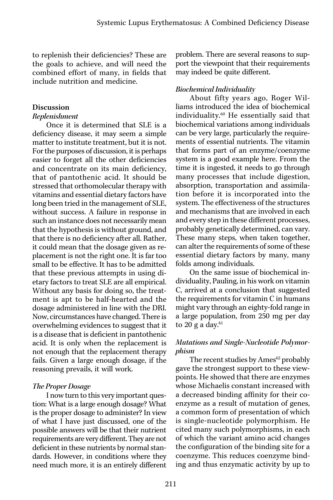to replenish their deficiencies? These are the goals to achieve, and will need the combined effort of many, in fields that include nutrition and medicine.

### Discussion

### Replenishment

Once it is determined that SLE is a deficiency disease, it may seem a simple matter to institute treatment, but it is not. For the purposes of discussion, it is perhaps easier to forget all the other deficiencies and concentrate on its main deficiency, that of pantothenic acid. It should be stressed that orthomolecular therapy with vitamins and essential dietary factors have long been tried in the management of SLE, without success. A failure in response in such an instance does not necessarily mean that the hypothesis is without ground, and that there is no deficiency after all. Rather, it could mean that the dosage given as replacement is not the right one. It is far too small to be effective. It has to be admitted that these previous attempts in using dietary factors to treat SLE are all empirical. Without any basis for doing so, the treatment is apt to be half-hearted and the dosage administered in line with the DRI. Now, circumstances have changed. There is overwhelming evidences to suggest that it is a disease that is deficient in pantothenic acid. It is only when the replacement is not enough that the replacement therapy fails. Given a large enough dosage, if the reasoning prevails, it will work.

# The Proper Dosage

I now turn to this very important question: What is a large enough dosage? What is the proper dosage to administer? In view of what I have just discussed, one of the possible answers will be that their nutrient requirements are very different. They are not deficient in these nutrients by normal standards. However, in conditions where they need much more, it is an entirely different

problem. There are several reasons to support the viewpoint that their requirements may indeed be quite different.

# Biochemical Individuality

About fifty years ago, Roger Williams introduced the idea of biochemical individuality.60 He essentially said that biochemical variations among individuals can be very large, particularly the requirements of essential nutrients. The vitamin that forms part of an enzyme/coenzyme system is a good example here. From the time it is ingested, it needs to go through many processes that include digestion, absorption, transportation and assimilation before it is incorporated into the system. The effectiveness of the structures and mechanisms that are involved in each and every step in these different processes, probably genetically determined, can vary. These many steps, when taken together, can alter the requirements of some of these essential dietary factors by many, many folds among individuals.

On the same issue of biochemical individuality, Pauling, in his work on vitamin C, arrived at a conclusion that suggested the requirements for vitamin C in humans might vary through an eighty-fold range in a large population, from 250 mg per day to 20 g a day. $61$ 

# Mutations and Single-Nucleotide Polymorphism

The recent studies by  $\rm{Ames}^{62}$  probably gave the strongest support to these viewpoints. He showed that there are enzymes whose Michaelis constant increased with a decreased binding affinity for their coenzyme as a result of mutation of genes, a common form of presentation of which is single-nucleotide polymorphism. He cited many such polymorphisms, in each of which the variant amino acid changes the configuration of the binding site for a coenzyme. This reduces coenzyme binding and thus enzymatic activity by up to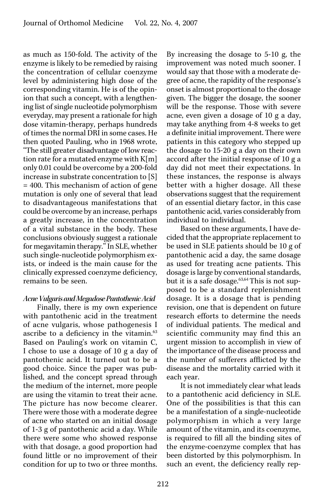as much as 150-fold. The activity of the enzyme is likely to be remedied by raising the concentration of cellular coenzyme level by administering high dose of the corresponding vitamin. He is of the opinion that such a concept, with a lengthening list of single nucleotide polymorphism everyday, may present a rationale for high dose vitamin-therapy, perhaps hundreds of times the normal DRI in some cases. He then quoted Pauling, who in 1968 wrote, "The still greater disadvantage of low reaction rate for a mutated enzyme with K[m] only 0.01 could be overcome by a 200-fold increase in substrate concentration to [S] = 400. This mechanism of action of gene mutation is only one of several that lead to disadvantageous manifestations that could be overcome by an increase, perhaps a greatly increase, in the concentration of a vital substance in the body. These conclusions obviously suggest a rationale for megavitamin therapy." In SLE, whether such single-nucleotide polymorphism exists, or indeed is the main cause for the clinically expressed coenzyme deficiency, remains to be seen.

## Acne Vulgaris and Megadose Pantothenic Acid

Finally, there is my own experience with pantothenic acid in the treatment of acne vulgaris, whose pathogenesis I ascribe to a deficiency in the vitamin.<sup>63</sup> Based on Pauling's work on vitamin C, I chose to use a dosage of 10 g a day of pantothenic acid. It turned out to be a good choice. Since the paper was published, and the concept spread through the medium of the internet, more people are using the vitamin to treat their acne. The picture has now become clearer. There were those with a moderate degree of acne who started on an initial dosage of 1-3 g of pantothenic acid a day. While there were some who showed response with that dosage, a good proportion had found little or no improvement of their condition for up to two or three months.

By increasing the dosage to 5-10 g, the improvement was noted much sooner. I would say that those with a moderate degree of acne, the rapidity of the response's onset is almost proportional to the dosage given. The bigger the dosage, the sooner will be the response. Those with severe acne, even given a dosage of 10 g a day, may take anything from 4-8 weeks to get a definite initial improvement. There were patients in this category who stepped up the dosage to 15-20 g a day on their own accord after the initial response of 10 g a day did not meet their expectations. In these instances, the response is always better with a higher dosage. All these observations suggest that the requirement of an essential dietary factor, in this case pantothenic acid, varies considerably from individual to individual.

Based on these arguments, I have decided that the appropriate replacement to be used in SLE patients should be 10 g of pantothenic acid a day, the same dosage as used for treating acne patients. This dosage is large by conventional standards, but it is a safe dosage.<sup>63,64</sup> This is not supposed to be a standard replenishment dosage. It is a dosage that is pending revision, one that is dependent on future research efforts to determine the needs of individual patients. The medical and scientific community may find this an urgent mission to accomplish in view of the importance of the disease process and the number of sufferers afflicted by the disease and the mortality carried with it each year.

It is not immediately clear what leads to a pantothenic acid deficiency in SLE. One of the possibilities is that this can be a manifestation of a single-nucleotide polymorphism in which a very large amount of the vitamin, and its coenzyme, is required to fill all the binding sites of the enzyme-coenzyme complex that has been distorted by this polymorphism. In such an event, the deficiency really rep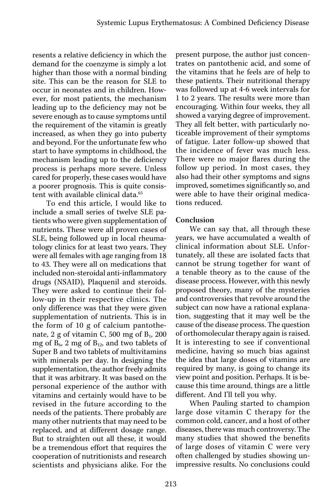resents a relative deficiency in which the demand for the coenzyme is simply a lot higher than those with a normal binding site. This can be the reason for SLE to occur in neonates and in children. However, for most patients, the mechanism leading up to the deficiency may not be severe enough as to cause symptoms until the requirement of the vitamin is greatly increased, as when they go into puberty and beyond. For the unfortunate few who start to have symptoms in childhood, the mechanism leading up to the deficiency process is perhaps more severe. Unless cared for properly, these cases would have a poorer prognosis. This is quite consistent with available clinical data.<sup>65</sup>

To end this article, I would like to include a small series of twelve SLE patients who were given supplementation of nutrients. These were all proven cases of SLE, being followed up in local rheumatology clinics for at least two years. They were all females with age ranging from 18 to 43. They were all on medications that included non-steroidal anti-inflammatory drugs (NSAID), Plaquenil and steroids. They were asked to continue their follow-up in their respective clinics. The only difference was that they were given supplementation of nutrients. This is in the form of 10 g of calcium pantothenate,  $2$  g of vitamin C, 500 mg of  $B<sub>1</sub>$ , 200 mg of  $B_6$ , 2 mg of  $B_{12}$ , and two tablets of Super B and two tablets of multivitamins with minerals per day. In designing the supplementation, the author freely admits that it was arbitrary. It was based on the personal experience of the author with vitamins and certainly would have to be revised in the future according to the needs of the patients. There probably are many other nutrients that may need to be replaced, and at different dosage range. But to straighten out all these, it would be a tremendous effort that requires the cooperation of nutritionists and research scientists and physicians alike. For the

present purpose, the author just concentrates on pantothenic acid, and some of the vitamins that he feels are of help to these patients. Their nutritional therapy was followed up at 4-6 week intervals for 1 to 2 years. The results were more than encouraging. Within four weeks, they all showed a varying degree of improvement. They all felt better, with particularly noticeable improvement of their symptoms of fatigue. Later follow-up showed that the incidence of fever was much less. There were no major flares during the follow up period. In most cases, they also had their other symptoms and signs improved, sometimes significantly so, and were able to have their original medications reduced.

## Conclusion

We can say that, all through these years, we have accumulated a wealth of clinical information about SLE. Unfortunately, all these are isolated facts that cannot be strung together for want of a tenable theory as to the cause of the disease process. However, with this newly proposed theory, many of the mysteries and controversies that revolve around the subject can now have a rational explanation, suggesting that it may well be the cause of the disease process. The question of orthomolecular therapy again is raised. It is interesting to see if conventional medicine, having so much bias against the idea that large doses of vitamins are required by many, is going to change its view point and position. Perhaps. It is because this time around, things are a little different. And I'll tell you why.

When Pauling started to champion large dose vitamin C therapy for the common cold, cancer, and a host of other diseases, there was much controversy. The many studies that showed the benefits of large doses of vitamin C were very often challenged by studies showing unimpressive results. No conclusions could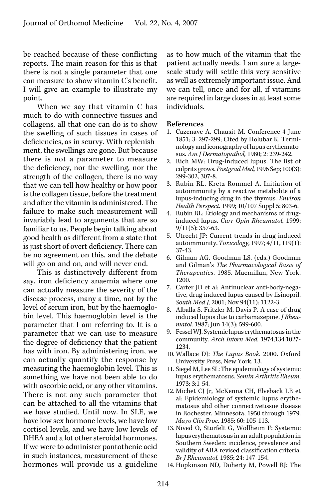be reached because of these conflicting reports. The main reason for this is that there is not a single parameter that one can measure to show vitamin C's benefit. I will give an example to illustrate my point.

When we say that vitamin C has much to do with connective tissues and collagens, all that one can do is to show the swelling of such tissues in cases of deficiencies, as in scurvy. With replenishment, the swellings are gone. But because there is not a parameter to measure the deficiency, nor the swelling, nor the strength of the collagen, there is no way that we can tell how healthy or how poor is the collagen tissue, before the treatment and after the vitamin is administered. The failure to make such measurement will invariably lead to arguments that are so familiar to us. People begin talking about good health as different from a state that is just short of overt deficiency. There can be no agreement on this, and the debate will go on and on, and will never end.

This is distinctively different from say, iron deficiency anaemia where one can actually measure the severity of the disease process, many a time, not by the level of serum iron, but by the haemoglobin level. This haemoglobin level is the parameter that I am referring to. It is a parameter that we can use to measure the degree of deficiency that the patient has with iron. By administering iron, we can actually quantify the response by measuring the haemoglobin level. This is something we have not been able to do with ascorbic acid, or any other vitamins. There is not any such parameter that can be attached to all the vitamins that we have studied. Until now. In SLE, we have low sex hormone levels, we have low cortisol levels, and we have low levels of DHEA and a lot other steroidal hormones. If we were to administer pantothenic acid in such instances, measurement of these hormones will provide us a guideline

as to how much of the vitamin that the patient actually needs. I am sure a largescale study will settle this very sensitive as well as extremely important issue. And we can tell, once and for all, if vitamins are required in large doses in at least some individuals.

#### References

- 1. Cazenave A, Chausit M. Conference 4 June 1851; 3: 297-299; Cited by Holubar K. Terminology and iconography of lupus erythematosus. Am J Dermatopathol, 1980; 2: 239-242.
- 2. Rich MW: Drug-induced lupus. The list of culprits grows. Postgrad Med, 1996 Sep; 100(3): 299-302, 307-8.
- 3. Rubin RL, Kretz-Rommel A. Initiation of autoimmunity by a reactive metabolite of a lupus-inducing drug in the thymus. Environ Health Perspect. 1999; 10/107 Suppl 5: 803-6.
- 4. Rubin RL: Etiology and mechanisms of druginduced lupus. Curr Opin Rheumatol, 1999; 9/11(5): 357-63.
- 5. Utrecht JP: Current trends in drug-induced autoimmunity. Toxicology, 1997; 4/11, 119(1): 37-43.
- 6. Gilman AG, Goodman LS. (eds.) Goodman and Gilman's The Pharmacological Basis of Therapeutics. 1985. Macmillan, New York. 1200.
- 7. Carter JD et al: Antinuclear anti-body-negative, drug induced lupus caused by lisinopril. South Med J, 2001; Nov 94(11): 1122-3.
- 8. Alballa S, Fritzler M, Davis P. A case of drug induced lupus due to carbamazepine. J Rheumatol. 1987; Jun 14(3): 599-600.
- 9. Fessel WJ. Systemic lupus erythematosus in the community. Arch Intern Med, 1974;134:1027- 1234.
- 10. Wallace DJ: The Lupus Book. 2000. Oxford University Press, New York. 13.
- 11. Siegel M, Lee SL: The epidemiology of systemic lupus erythematosus. Semin Arthritis Rheum, 1973; 3:1-54.
- 12. Michet CJ Jr, McKenna CH, Elveback LR et al: Epidemiology of systemic lupus erythematosus abd other connectivetissue disease in Rochester, Minnesota, 1950 through 1979. Mayo Clin Proc, 1985; 60: 105-113.
- 13. Nived O, Sturfelt G, Wollheim F: Systemic lupus erythematosus in an adult population in Southern Sweden: incidence, prevalence and validity of ARA revised classification criteria. Br J Rheumatol, 1985; 24: 147-154.
- 14. Hopkinson ND, Doherty M, Powell RJ: The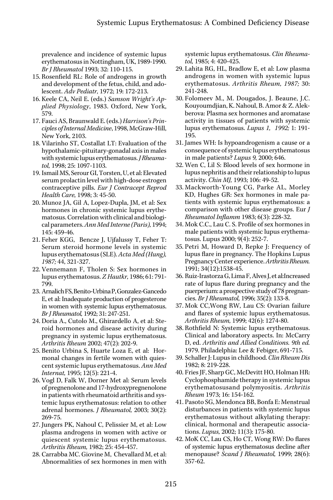prevalence and incidence of systemic lupus erythematosus in Nottingham, UK, 1989-1990. Br J Rheumatol 1993; 32: 110-115.

- 15. Rosenfield RL: Role of androgens in growth and development of the fetus, child, and adolescent. Adv Pediatr, 1972; 19: 172-213.
- 16. Keele CA, Neil E. (eds.) Samson Wright's Applied Physiology, 1983. Oxford, New York, 579.
- 17. Fauci AS, Braunwald E. (eds.) Harrison's Principles of Internal Medicine, 1998, McGraw-Hill, New York, 2103.
- 18. Vilarinho ST, Costallat LT: Evaluation of the hypothalamic-pituitary-gonadal axis in males with systemic lupus erythematosus. *J Rheuma*tol, 1998; 25: 1097-1103.
- 19. Ismail MS, Serour GI, Torsten, U, et al: Elevated serum prolactin level with high-dose estrogen contraceptive pills. Eur J Contracept Reprod Health Care, 1998; 3: 45-50.
- 20. Munoz JA, Gil A, Lopez-Dupla, JM, et al: Sex hormones in chronic systemic lupus erythematosus. Correlation with clinical and biological parameters. Ann Med Interne (Paris), 1994; 145: 459-46.
- 21. Feher KGG, Bencze J, Ujfalussy T, Feher T: Serum steroid hormone levels in systemic lupus erythematosus (SLE). Acta Med (Hung), 1987; 44, 321-327.
- 22. Vennemann F, Tholen S: Sex hormones in lupus erythematosus. Z Hautkr, 1986; 61: 791- 799.
- 23. Arnalich FS, Benito-Urbina P, Gonzalez-Gancedo E, et al: Inadequate production of progesterone in women with systemic lupus erythematosus. Br J Rheumatol, 1992; 31: 247-251.
- 24. Doria A., Cutolo M., Ghirardello A, et al: Steroid hormones and disease activity during pregnancy in systemic lupus erythematosus. Arthritis Rheum 2002; 47(2): 202-9.
- 25. Benito Urbina S, Huarte Loza E, et al: Hormonal changes in fertile women with quiescent systemic lupus erythematosus. Ann Med Internat, 1995; 12(5): 221-4.
- 26. Vogl D, Falk W, Dorner Met al: Serum levels of pregnenolone and 17-hydroxypregnenolone in patients with rheumatoid arthritis and systemic lupus erythematosus: relation to other adrenal hormones. J Rheumatol, 2003; 30(2): 269-75.
- 27. Jungers PK, Nahoul C, Pelissier M, et al: Low plasma androgens in women with active or quiescent systemic lupus erythematosus. Arthritis Rheum, 1982; 25: 454-457.
- 28. Carrabba MC. Giovine M, Chevallard M, et al: Abnormalities of sex hormones in men with

systemic lupus erythematosus. Clin Rheumatol, 1985; 4: 420-425.

- 29. Lahita RG, HL, Bradlow E, et al: Low plasma androgens in women with systemic lupus erythematosus. Arthritis Rheum, 1987; 30: 241-248.
- 30. Folomeev M., M. Dougados, J. Beaune, J.C. Kouyoumdjian, K. Nahoul, B. Amor & Z. Alekberova: Plasma sex hormones and aromatase activity in tissues of patients with systemic lupus erythematosus. Lupus 1, 1992; 1: 191- 195.
- 31. James WH: Is hypoandrogenism a cause or a consequence of systemic lupus erythematosus in male patients? Lupus 9, 2000; 646.
- 32. Wen C, Lil S: Blood levels of sex hormone in lupus nephritis and their relationship to lupus activity. Chin MJ, 1993; 106: 49-52.
- 33. Mackworth-Young CG, Parke AL, Morley KD, Hughes GR: Sex hormones in male patients with systemic lupus erythematosus: a comparison with other disease groups. Eur J Rheumatol Inflamm 1983; 6(3): 228-32.
- 34. Mok C.C., Lau C. S. Profile of sex hormones in male patients with systemic lupus erythematosus. Lupus 2000; 9(4): 252-7.
- 35. Petri M, Howard D, Repke J: Frequency of lupus flare in pregnancy. The Hopkins Lupus Pregnancy Center experience. Arthritis Rheum. 1991; 34(12):1538-45.
- 36. Ruiz-Irastorza G, Lima F, Alves J, et al:Increased rate of lupus flare during pregnancy and the puerperium: a prospective study of 78 pregnancies. Br J Rheumatol, 1996; 35(2): 133-8.
- 37. Mok CC,Wong RW, Lau CS: Ovarian failure and flares of systemic lupus erythematosus. Arthritis Rheum, 1999; 42(6): 1274-80.
- 38. Rothfield N: Systemic lupus erythematosus. Clinical and laboratory aspects. In: McCarry D, ed. Arthritis and Allied Conditions. 9th ed. 1979. Philadelphia: Lee & Febiger, 691-715.
- 39. Schaller J: Lupus in childhood. Clin Rheum Dis 1982; 8: 219-228.
- 40. Fries JF, Sharp GC, McDevitt HO, Holman HR: Cyclophosphamide therapy in systemic lupus erythematosusand polymyositis. Arthritis Rheum 1973; 16: 154-162.
- 41. Pasoto SG, Mendonca BB, Bonfa E: Menstrual disturbances in patients with systemic lupus erythematosus without alkylating therapy: clinical, hormonal and therapeutic associations. Lupus, 2002; 11(3): 175-80.
- 42. MoK CC, Lau CS, Ho CT, Wong RW: Do flares of systemic lupus erythematosus decline after menopause? Scand J Rheumatol, 1999; 28(6): 357-62.